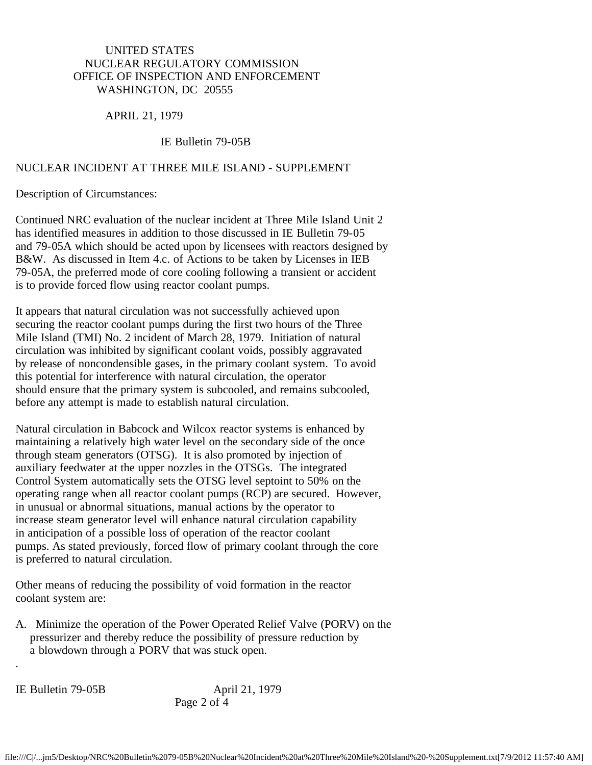## UNITED STATES NUCLEAR REGULATORY COMMISSION OFFICE OF INSPECTION AND ENFORCEMENT WASHINGTON, DC 20555

### APRIL 21, 1979

#### IE Bulletin 79-05B

#### NUCLEAR INCIDENT AT THREE MILE ISLAND - SUPPLEMENT

Description of Circumstances:

Continued NRC evaluation of the nuclear incident at Three Mile Island Unit 2 has identified measures in addition to those discussed in IE Bulletin 79-05 and 79-05A which should be acted upon by licensees with reactors designed by B&W. As discussed in Item 4.c. of Actions to be taken by Licenses in IEB 79-05A, the preferred mode of core cooling following a transient or accident is to provide forced flow using reactor coolant pumps.

It appears that natural circulation was not successfully achieved upon securing the reactor coolant pumps during the first two hours of the Three Mile Island (TMI) No. 2 incident of March 28, 1979. Initiation of natural circulation was inhibited by significant coolant voids, possibly aggravated by release of noncondensible gases, in the primary coolant system. To avoid this potential for interference with natural circulation, the operator should ensure that the primary system is subcooled, and remains subcooled, before any attempt is made to establish natural circulation.

Natural circulation in Babcock and Wilcox reactor systems is enhanced by maintaining a relatively high water level on the secondary side of the once through steam generators (OTSG). It is also promoted by injection of auxiliary feedwater at the upper nozzles in the OTSGs. The integrated Control System automatically sets the OTSG level septoint to 50% on the operating range when all reactor coolant pumps (RCP) are secured. However, in unusual or abnormal situations, manual actions by the operator to increase steam generator level will enhance natural circulation capability in anticipation of a possible loss of operation of the reactor coolant pumps. As stated previously, forced flow of primary coolant through the core is preferred to natural circulation.

Other means of reducing the possibility of void formation in the reactor coolant system are:

A. Minimize the operation of the Power Operated Relief Valve (PORV) on the pressurizer and thereby reduce the possibility of pressure reduction by a blowdown through a PORV that was stuck open.

.

IE Bulletin 79-05B April 21, 1979 Page 2 of 4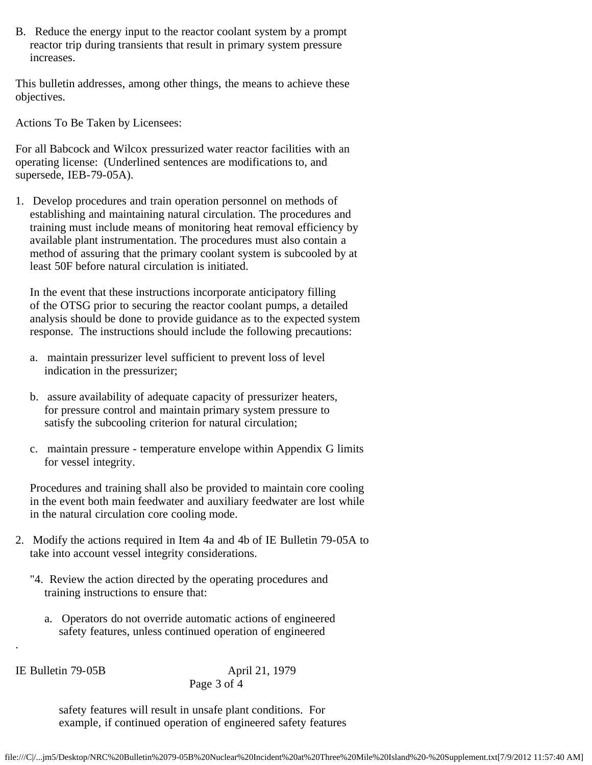B. Reduce the energy input to the reactor coolant system by a prompt reactor trip during transients that result in primary system pressure increases.

This bulletin addresses, among other things, the means to achieve these objectives.

Actions To Be Taken by Licensees:

For all Babcock and Wilcox pressurized water reactor facilities with an operating license: (Underlined sentences are modifications to, and supersede, IEB-79-05A).

1. Develop procedures and train operation personnel on methods of establishing and maintaining natural circulation. The procedures and training must include means of monitoring heat removal efficiency by available plant instrumentation. The procedures must also contain a method of assuring that the primary coolant system is subcooled by at least 50F before natural circulation is initiated.

 In the event that these instructions incorporate anticipatory filling of the OTSG prior to securing the reactor coolant pumps, a detailed analysis should be done to provide guidance as to the expected system response. The instructions should include the following precautions:

- a. maintain pressurizer level sufficient to prevent loss of level indication in the pressurizer;
- b. assure availability of adequate capacity of pressurizer heaters, for pressure control and maintain primary system pressure to satisfy the subcooling criterion for natural circulation;
- c. maintain pressure temperature envelope within Appendix G limits for vessel integrity.

 Procedures and training shall also be provided to maintain core cooling in the event both main feedwater and auxiliary feedwater are lost while in the natural circulation core cooling mode.

- 2. Modify the actions required in Item 4a and 4b of IE Bulletin 79-05A to take into account vessel integrity considerations.
	- "4. Review the action directed by the operating procedures and training instructions to ensure that:
		- a. Operators do not override automatic actions of engineered safety features, unless continued operation of engineered

.

IE Bulletin 79-05B April 21, 1979 Page 3 of 4

> safety features will result in unsafe plant conditions. For example, if continued operation of engineered safety features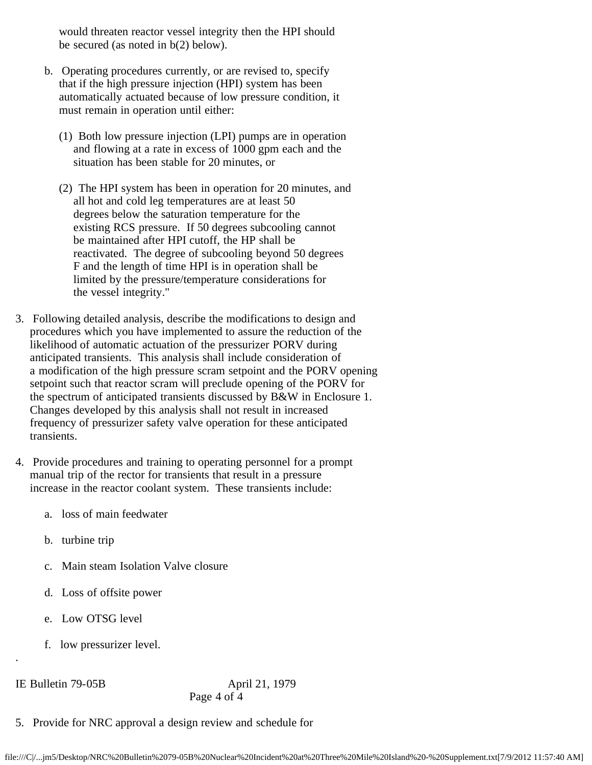would threaten reactor vessel integrity then the HPI should be secured (as noted in b(2) below).

- b. Operating procedures currently, or are revised to, specify that if the high pressure injection (HPI) system has been automatically actuated because of low pressure condition, it must remain in operation until either:
	- (1) Both low pressure injection (LPI) pumps are in operation and flowing at a rate in excess of 1000 gpm each and the situation has been stable for 20 minutes, or
	- (2) The HPI system has been in operation for 20 minutes, and all hot and cold leg temperatures are at least 50 degrees below the saturation temperature for the existing RCS pressure. If 50 degrees subcooling cannot be maintained after HPI cutoff, the HP shall be reactivated. The degree of subcooling beyond 50 degrees F and the length of time HPI is in operation shall be limited by the pressure/temperature considerations for the vessel integrity."
- 3. Following detailed analysis, describe the modifications to design and procedures which you have implemented to assure the reduction of the likelihood of automatic actuation of the pressurizer PORV during anticipated transients. This analysis shall include consideration of a modification of the high pressure scram setpoint and the PORV opening setpoint such that reactor scram will preclude opening of the PORV for the spectrum of anticipated transients discussed by B&W in Enclosure 1. Changes developed by this analysis shall not result in increased frequency of pressurizer safety valve operation for these anticipated transients.
- 4. Provide procedures and training to operating personnel for a prompt manual trip of the rector for transients that result in a pressure increase in the reactor coolant system. These transients include:
	- a. loss of main feedwater
	- b. turbine trip
	- c. Main steam Isolation Valve closure
	- d. Loss of offsite power
	- e. Low OTSG level
	- f. low pressurizer level.

## IE Bulletin 79-05B April 21, 1979

.

Page 4 of 4

5. Provide for NRC approval a design review and schedule for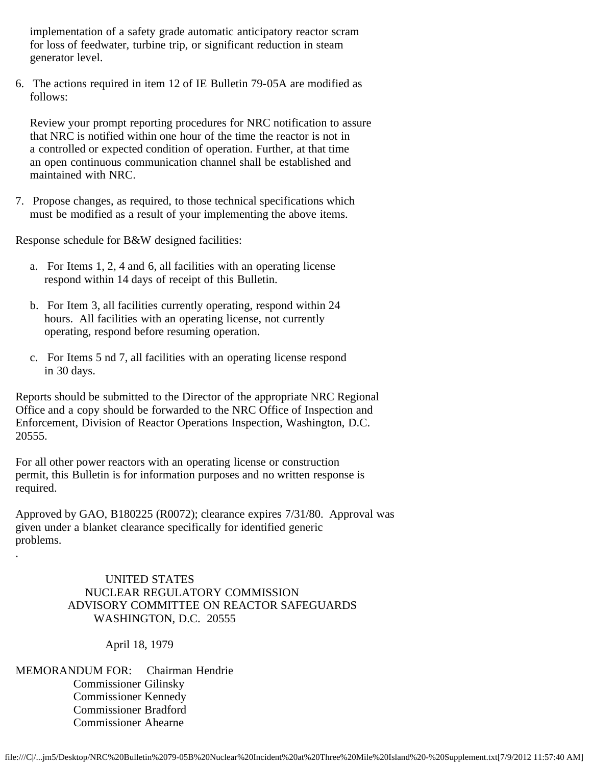implementation of a safety grade automatic anticipatory reactor scram for loss of feedwater, turbine trip, or significant reduction in steam generator level.

6. The actions required in item 12 of IE Bulletin 79-05A are modified as follows:

 Review your prompt reporting procedures for NRC notification to assure that NRC is notified within one hour of the time the reactor is not in a controlled or expected condition of operation. Further, at that time an open continuous communication channel shall be established and maintained with NRC.

7. Propose changes, as required, to those technical specifications which must be modified as a result of your implementing the above items.

Response schedule for B&W designed facilities:

- a. For Items 1, 2, 4 and 6, all facilities with an operating license respond within 14 days of receipt of this Bulletin.
- b. For Item 3, all facilities currently operating, respond within 24 hours. All facilities with an operating license, not currently operating, respond before resuming operation.
- c. For Items 5 nd 7, all facilities with an operating license respond in 30 days.

Reports should be submitted to the Director of the appropriate NRC Regional Office and a copy should be forwarded to the NRC Office of Inspection and Enforcement, Division of Reactor Operations Inspection, Washington, D.C. 20555.

For all other power reactors with an operating license or construction permit, this Bulletin is for information purposes and no written response is required.

Approved by GAO, B180225 (R0072); clearance expires 7/31/80. Approval was given under a blanket clearance specifically for identified generic problems.

> UNITED STATES NUCLEAR REGULATORY COMMISSION ADVISORY COMMITTEE ON REACTOR SAFEGUARDS WASHINGTON, D.C. 20555

> > April 18, 1979

MEMORANDUM FOR: Chairman Hendrie Commissioner Gilinsky Commissioner Kennedy Commissioner Bradford Commissioner Ahearne

.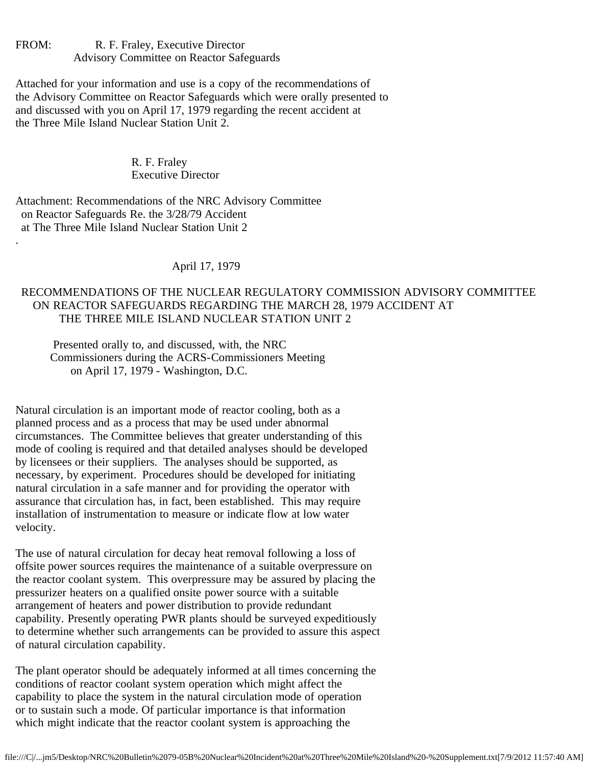FROM: R. F. Fraley, Executive Director Advisory Committee on Reactor Safeguards

Attached for your information and use is a copy of the recommendations of the Advisory Committee on Reactor Safeguards which were orally presented to and discussed with you on April 17, 1979 regarding the recent accident at the Three Mile Island Nuclear Station Unit 2.

> R. F. Fraley Executive Director

Attachment: Recommendations of the NRC Advisory Committee on Reactor Safeguards Re. the 3/28/79 Accident at The Three Mile Island Nuclear Station Unit 2

.

April 17, 1979

# RECOMMENDATIONS OF THE NUCLEAR REGULATORY COMMISSION ADVISORY COMMITTEE ON REACTOR SAFEGUARDS REGARDING THE MARCH 28, 1979 ACCIDENT AT THE THREE MILE ISLAND NUCLEAR STATION UNIT 2

 Presented orally to, and discussed, with, the NRC Commissioners during the ACRS-Commissioners Meeting on April 17, 1979 - Washington, D.C.

Natural circulation is an important mode of reactor cooling, both as a planned process and as a process that may be used under abnormal circumstances. The Committee believes that greater understanding of this mode of cooling is required and that detailed analyses should be developed by licensees or their suppliers. The analyses should be supported, as necessary, by experiment. Procedures should be developed for initiating natural circulation in a safe manner and for providing the operator with assurance that circulation has, in fact, been established. This may require installation of instrumentation to measure or indicate flow at low water velocity.

The use of natural circulation for decay heat removal following a loss of offsite power sources requires the maintenance of a suitable overpressure on the reactor coolant system. This overpressure may be assured by placing the pressurizer heaters on a qualified onsite power source with a suitable arrangement of heaters and power distribution to provide redundant capability. Presently operating PWR plants should be surveyed expeditiously to determine whether such arrangements can be provided to assure this aspect of natural circulation capability.

The plant operator should be adequately informed at all times concerning the conditions of reactor coolant system operation which might affect the capability to place the system in the natural circulation mode of operation or to sustain such a mode. Of particular importance is that information which might indicate that the reactor coolant system is approaching the